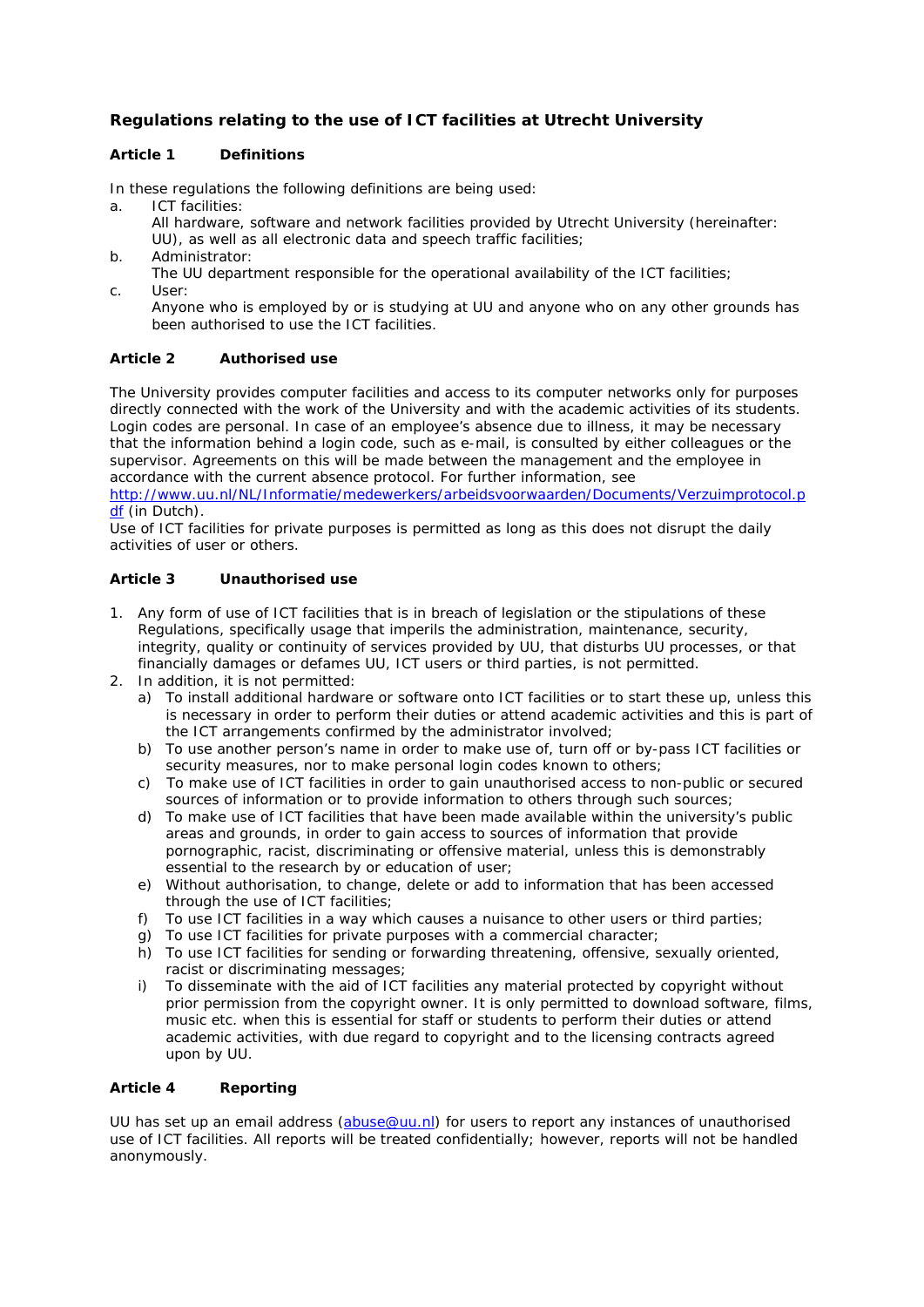## **Regulations relating to the use of ICT facilities at Utrecht University**

## **Article 1 Definitions**

In these regulations the following definitions are being used:

- a. ICT facilities:
	- All hardware, software and network facilities provided by Utrecht University (hereinafter: UU), as well as all electronic data and speech traffic facilities;
- b. Administrator:
	- The UU department responsible for the operational availability of the ICT facilities;
- c. User:

 Anyone who is employed by or is studying at UU and anyone who on any other grounds has been authorised to use the ICT facilities.

## **Article 2 Authorised use**

The University provides computer facilities and access to its computer networks only for purposes directly connected with the work of the University and with the academic activities of its students. Login codes are personal. In case of an employee's absence due to illness, it may be necessary that the information behind a login code, such as e-mail, is consulted by either colleagues or the supervisor. Agreements on this will be made between the management and the employee in accordance with the current absence protocol. For further information, see

http://www.uu.nl/NL/Informatie/medewerkers/arbeidsvoorwaarden/Documents/Verzuimprotocol.p df (in Dutch).

Use of ICT facilities for private purposes is permitted as long as this does not disrupt the daily activities of user or others.

### **Article 3 Unauthorised use**

- 1. Any form of use of ICT facilities that is in breach of legislation or the stipulations of these Regulations, specifically usage that imperils the administration, maintenance, security, integrity, quality or continuity of services provided by UU, that disturbs UU processes, or that financially damages or defames UU, ICT users or third parties, is not permitted.
- 2. In addition, it is not permitted:
	- a) To install additional hardware or software onto ICT facilities or to start these up, unless this is necessary in order to perform their duties or attend academic activities and this is part of the ICT arrangements confirmed by the administrator involved;
	- b) To use another person's name in order to make use of, turn off or by-pass ICT facilities or security measures, nor to make personal login codes known to others;
	- c) To make use of ICT facilities in order to gain unauthorised access to non-public or secured sources of information or to provide information to others through such sources;
	- d) To make use of ICT facilities that have been made available within the university's public areas and grounds, in order to gain access to sources of information that provide pornographic, racist, discriminating or offensive material, unless this is demonstrably essential to the research by or education of user;
	- e) Without authorisation, to change, delete or add to information that has been accessed through the use of ICT facilities;
	- f) To use ICT facilities in a way which causes a nuisance to other users or third parties;
	- g) To use ICT facilities for private purposes with a commercial character;
	- h) To use ICT facilities for sending or forwarding threatening, offensive, sexually oriented, racist or discriminating messages;
	- i) To disseminate with the aid of ICT facilities any material protected by copyright without prior permission from the copyright owner. It is only permitted to download software, films, music etc. when this is essential for staff or students to perform their duties or attend academic activities, with due regard to copyright and to the licensing contracts agreed upon by UU.

## **Article 4 Reporting**

UU has set up an email address (abuse@uu.nl) for users to report any instances of unauthorised use of ICT facilities. All reports will be treated confidentially; however, reports will not be handled anonymously.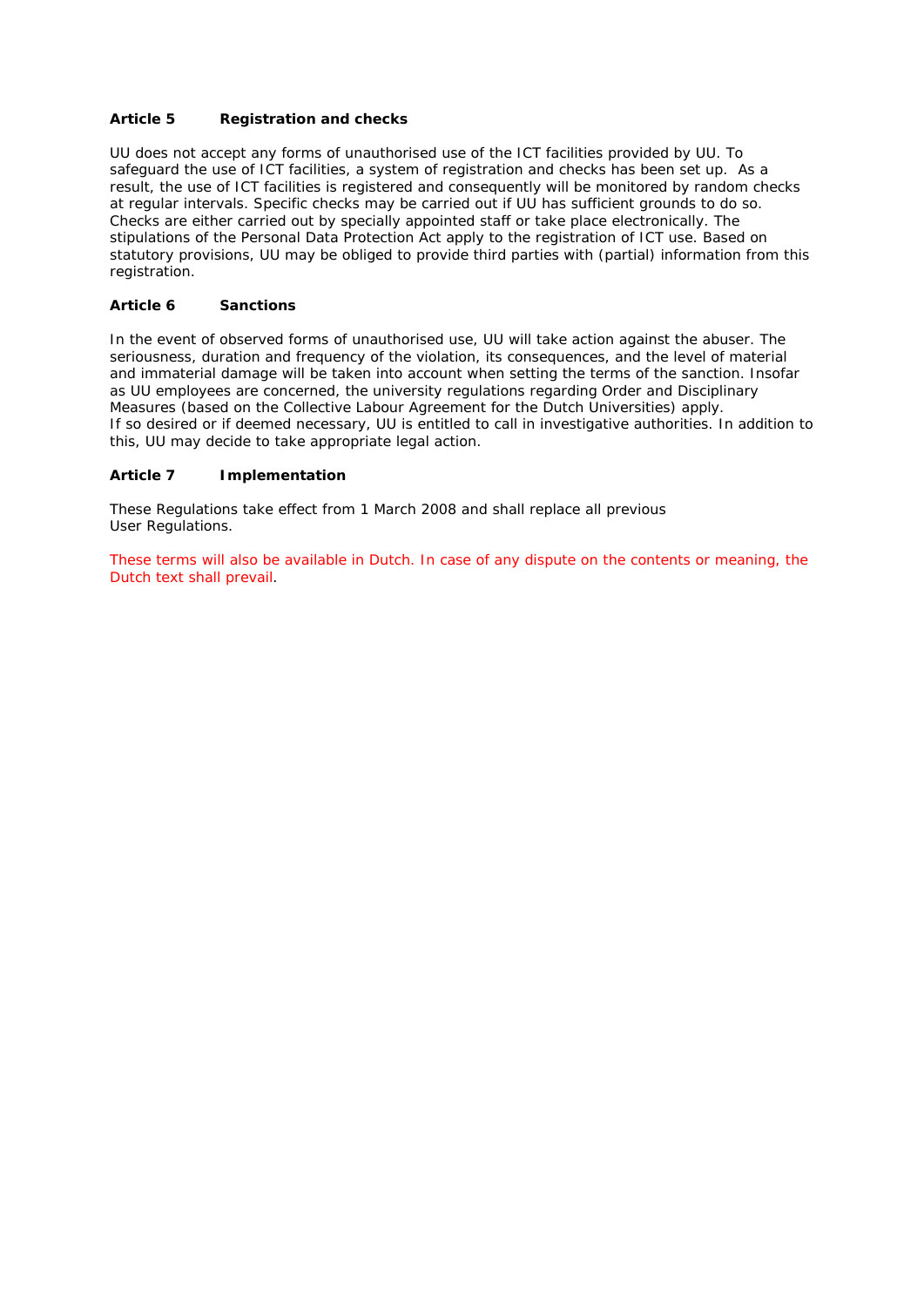## **Article 5 Registration and checks**

UU does not accept any forms of unauthorised use of the ICT facilities provided by UU. To safeguard the use of ICT facilities, a system of registration and checks has been set up. As a result, the use of ICT facilities is registered and consequently will be monitored by random checks at regular intervals. Specific checks may be carried out if UU has sufficient grounds to do so. Checks are either carried out by specially appointed staff or take place electronically. The stipulations of the Personal Data Protection Act apply to the registration of ICT use. Based on statutory provisions, UU may be obliged to provide third parties with (partial) information from this registration.

### **Article 6 Sanctions**

In the event of observed forms of unauthorised use, UU will take action against the abuser. The seriousness, duration and frequency of the violation, its consequences, and the level of material and immaterial damage will be taken into account when setting the terms of the sanction. Insofar as UU employees are concerned, the university regulations regarding Order and Disciplinary Measures (based on the Collective Labour Agreement for the Dutch Universities) apply. If so desired or if deemed necessary, UU is entitled to call in investigative authorities. In addition to this, UU may decide to take appropriate legal action.

### **Article 7 Implementation**

These Regulations take effect from 1 March 2008 and shall replace all previous User Regulations.

These terms will also be available in Dutch. In case of any dispute on the contents or meaning, the Dutch text shall prevail.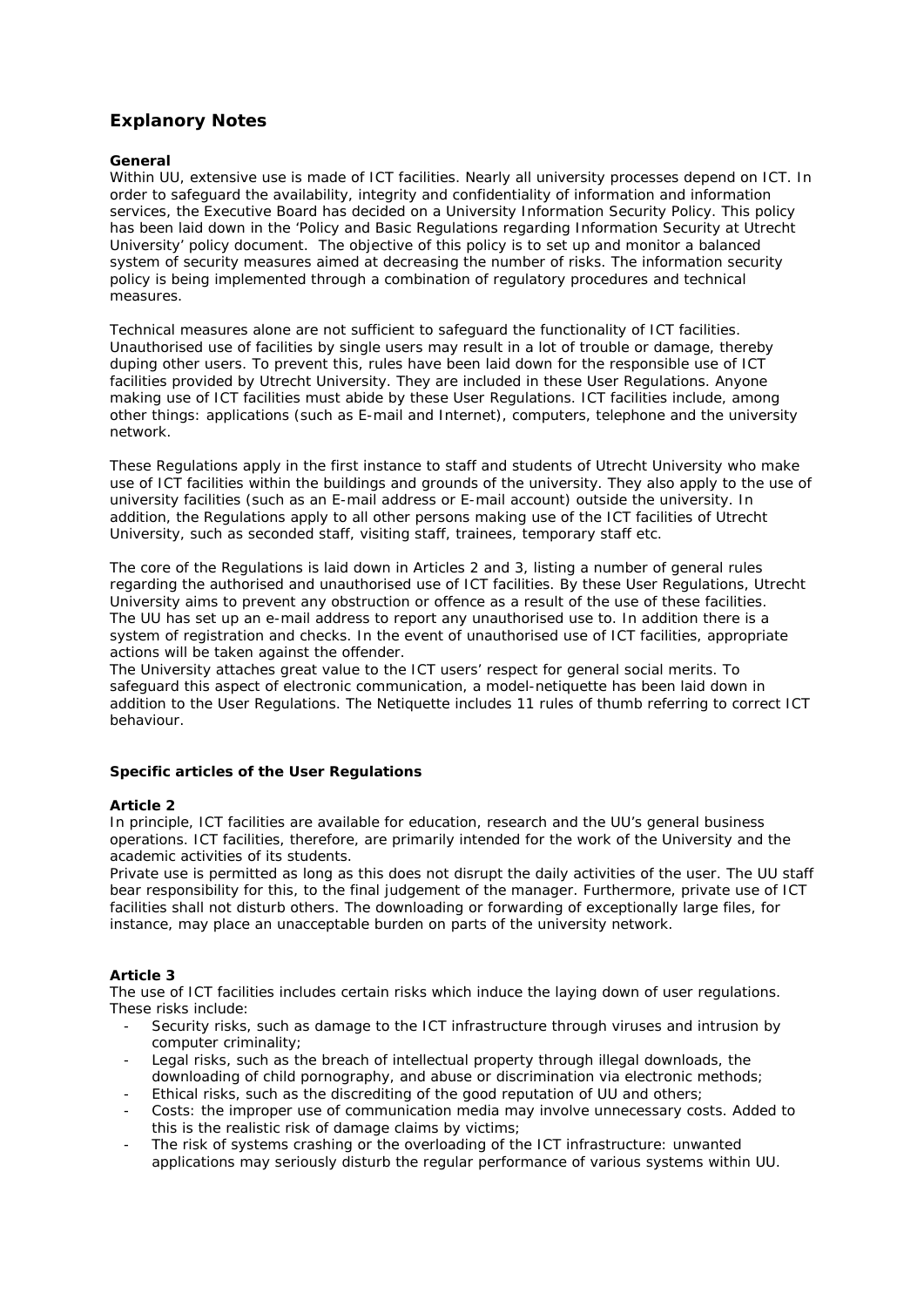# **Explanory Notes**

#### **General**

Within UU, extensive use is made of ICT facilities. Nearly all university processes depend on ICT. In order to safeguard the availability, integrity and confidentiality of information and information services, the Executive Board has decided on a University Information Security Policy. This policy has been laid down in the 'Policy and Basic Regulations regarding Information Security at Utrecht University' policy document. The objective of this policy is to set up and monitor a balanced system of security measures aimed at decreasing the number of risks. The information security policy is being implemented through a combination of regulatory procedures and technical measures.

Technical measures alone are not sufficient to safeguard the functionality of ICT facilities. Unauthorised use of facilities by single users may result in a lot of trouble or damage, thereby duping other users. To prevent this, rules have been laid down for the responsible use of ICT facilities provided by Utrecht University. They are included in these User Regulations. Anyone making use of ICT facilities must abide by these User Regulations. ICT facilities include, among other things: applications (such as E-mail and Internet), computers, telephone and the university network.

These Regulations apply in the first instance to staff and students of Utrecht University who make use of ICT facilities within the buildings and grounds of the university. They also apply to the use of university facilities (such as an E-mail address or E-mail account) outside the university. In addition, the Regulations apply to all other persons making use of the ICT facilities of Utrecht University, such as seconded staff, visiting staff, trainees, temporary staff etc.

The core of the Regulations is laid down in Articles 2 and 3, listing a number of general rules regarding the authorised and unauthorised use of ICT facilities. By these User Regulations, Utrecht University aims to prevent any obstruction or offence as a result of the use of these facilities. The UU has set up an e-mail address to report any unauthorised use to. In addition there is a system of registration and checks. In the event of unauthorised use of ICT facilities, appropriate actions will be taken against the offender.

The University attaches great value to the ICT users' respect for general social merits. To safeguard this aspect of electronic communication, a model-netiquette has been laid down in addition to the User Regulations. The Netiquette includes 11 rules of thumb referring to correct ICT behaviour.

### **Specific articles of the User Regulations**

#### **Article 2**

In principle, ICT facilities are available for education, research and the UU's general business operations. ICT facilities, therefore, are primarily intended for the work of the University and the academic activities of its students.

Private use is permitted as long as this does not disrupt the daily activities of the user. The UU staff bear responsibility for this, to the final judgement of the manager. Furthermore, private use of ICT facilities shall not disturb others. The downloading or forwarding of exceptionally large files, for instance, may place an unacceptable burden on parts of the university network.

### **Article 3**

The use of ICT facilities includes certain risks which induce the laying down of user regulations. These risks include:

- Security risks, such as damage to the ICT infrastructure through viruses and intrusion by computer criminality;
- Legal risks, such as the breach of intellectual property through illegal downloads, the downloading of child pornography, and abuse or discrimination via electronic methods;
- Ethical risks, such as the discrediting of the good reputation of UU and others;
- Costs: the improper use of communication media may involve unnecessary costs. Added to this is the realistic risk of damage claims by victims;
- The risk of systems crashing or the overloading of the ICT infrastructure: unwanted applications may seriously disturb the regular performance of various systems within UU.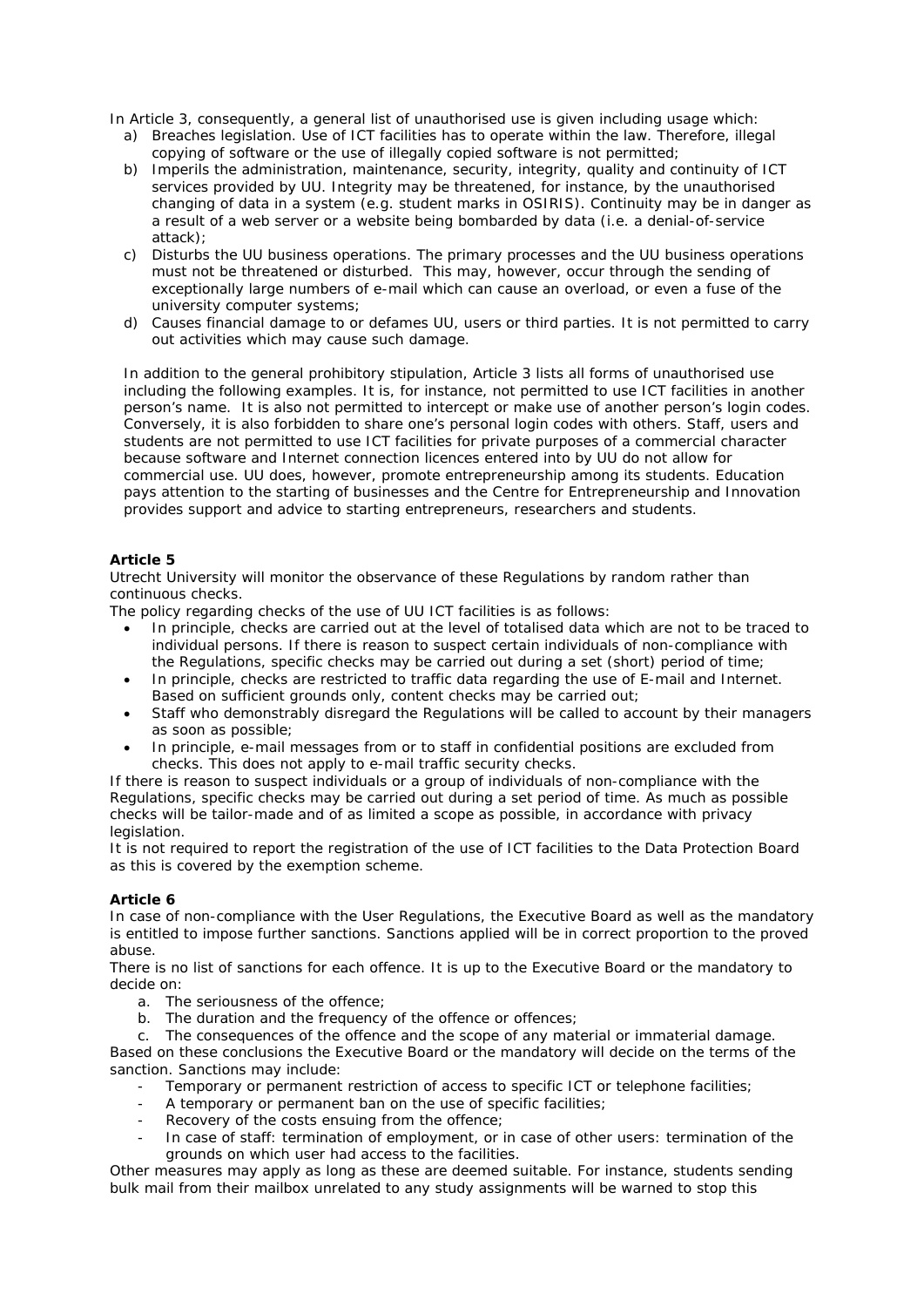In Article 3, consequently, a general list of unauthorised use is given including usage which:

- a) Breaches legislation. Use of ICT facilities has to operate within the law. Therefore, illegal copying of software or the use of illegally copied software is not permitted;
- b) Imperils the administration, maintenance, security, integrity, quality and continuity of ICT services provided by UU. Integrity may be threatened, for instance, by the unauthorised changing of data in a system (e.g. student marks in OSIRIS). Continuity may be in danger as a result of a web server or a website being bombarded by data (i.e. a denial-of-service attack);
- c) Disturbs the UU business operations. The primary processes and the UU business operations must not be threatened or disturbed. This may, however, occur through the sending of exceptionally large numbers of e-mail which can cause an overload, or even a fuse of the university computer systems;
- d) Causes financial damage to or defames UU, users or third parties. It is not permitted to carry out activities which may cause such damage.

In addition to the general prohibitory stipulation, Article 3 lists all forms of unauthorised use including the following examples. It is, for instance, not permitted to use ICT facilities in another person's name. It is also not permitted to intercept or make use of another person's login codes. Conversely, it is also forbidden to share one's personal login codes with others. Staff, users and students are not permitted to use ICT facilities for private purposes of a commercial character because software and Internet connection licences entered into by UU do not allow for commercial use. UU does, however, promote entrepreneurship among its students. Education pays attention to the starting of businesses and the Centre for Entrepreneurship and Innovation provides support and advice to starting entrepreneurs, researchers and students.

## **Article 5**

Utrecht University will monitor the observance of these Regulations by random rather than continuous checks.

The policy regarding checks of the use of UU ICT facilities is as follows:

- In principle, checks are carried out at the level of totalised data which are not to be traced to individual persons. If there is reason to suspect certain individuals of non-compliance with the Regulations, specific checks may be carried out during a set (short) period of time;
- In principle, checks are restricted to traffic data regarding the use of E-mail and Internet. Based on sufficient grounds only, content checks may be carried out;
- Staff who demonstrably disregard the Regulations will be called to account by their managers as soon as possible;
- In principle, e-mail messages from or to staff in confidential positions are excluded from checks. This does not apply to e-mail traffic security checks.

If there is reason to suspect individuals or a group of individuals of non-compliance with the Regulations, specific checks may be carried out during a set period of time. As much as possible checks will be tailor-made and of as limited a scope as possible, in accordance with privacy legislation.

It is not required to report the registration of the use of ICT facilities to the Data Protection Board as this is covered by the exemption scheme.

### **Article 6**

In case of non-compliance with the User Regulations, the Executive Board as well as the mandatory is entitled to impose further sanctions. Sanctions applied will be in correct proportion to the proved abuse.

There is no list of sanctions for each offence. It is up to the Executive Board or the mandatory to decide on:

- a. The seriousness of the offence;
- b. The duration and the frequency of the offence or offences;

c. The consequences of the offence and the scope of any material or immaterial damage.

Based on these conclusions the Executive Board or the mandatory will decide on the terms of the sanction. Sanctions may include:

- Temporary or permanent restriction of access to specific ICT or telephone facilities;
- A temporary or permanent ban on the use of specific facilities;
- Recovery of the costs ensuing from the offence;
- In case of staff: termination of employment, or in case of other users: termination of the grounds on which user had access to the facilities.

Other measures may apply as long as these are deemed suitable. For instance, students sending bulk mail from their mailbox unrelated to any study assignments will be warned to stop this